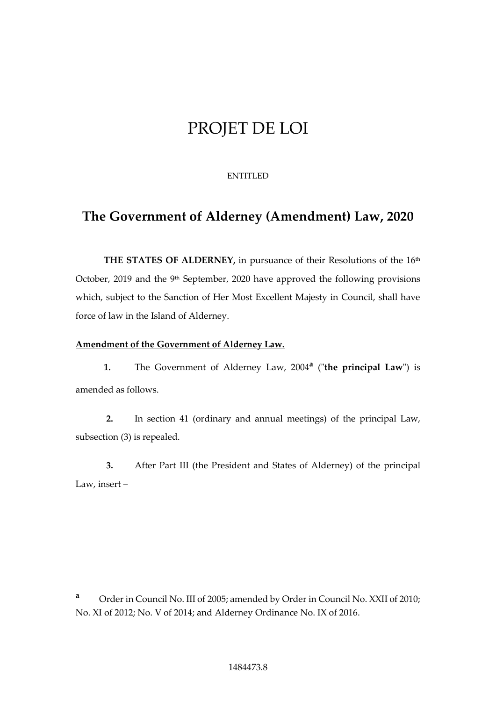# PROJET DE LOI

# ENTITLED

# **The Government of Alderney (Amendment) Law, 2020**

THE STATES OF ALDERNEY, in pursuance of their Resolutions of the 16<sup>th</sup> October, 2019 and the  $9<sup>th</sup>$  September, 2020 have approved the following provisions which, subject to the Sanction of Her Most Excellent Majesty in Council, shall have force of law in the Island of Alderney.

# **Amendment of the Government of Alderney Law.**

**1.** The Government of Alderney Law, 2004**<sup>a</sup>** ("**the principal Law**") is amended as follows.

**2.** In section 41 (ordinary and annual meetings) of the principal Law, subsection (3) is repealed.

**3.** After Part III (the President and States of Alderney) of the principal Law, insert –

**<sup>a</sup>** Order in Council No. III of 2005; amended by Order in Council No. XXII of 2010; No. XI of 2012; No. V of 2014; and Alderney Ordinance No. IX of 2016.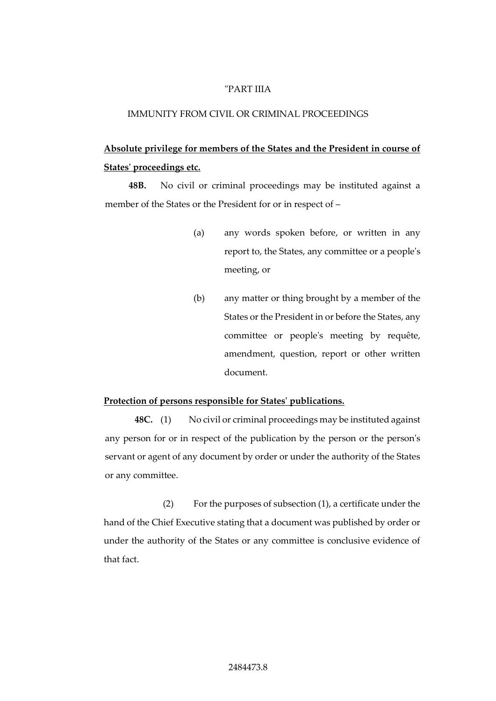#### "PART IIIA

#### IMMUNITY FROM CIVIL OR CRIMINAL PROCEEDINGS

# **Absolute privilege for members of the States and the President in course of States' proceedings etc.**

**48B.** No civil or criminal proceedings may be instituted against a member of the States or the President for or in respect of –

- (a) any words spoken before, or written in any report to, the States, any committee or a people's meeting, or
- (b) any matter or thing brought by a member of the States or the President in or before the States, any committee or people's meeting by requête, amendment, question, report or other written document.

#### **Protection of persons responsible for States' publications.**

**48C.** (1) No civil or criminal proceedings may be instituted against any person for or in respect of the publication by the person or the person's servant or agent of any document by order or under the authority of the States or any committee.

(2) For the purposes of subsection (1), a certificate under the hand of the Chief Executive stating that a document was published by order or under the authority of the States or any committee is conclusive evidence of that fact.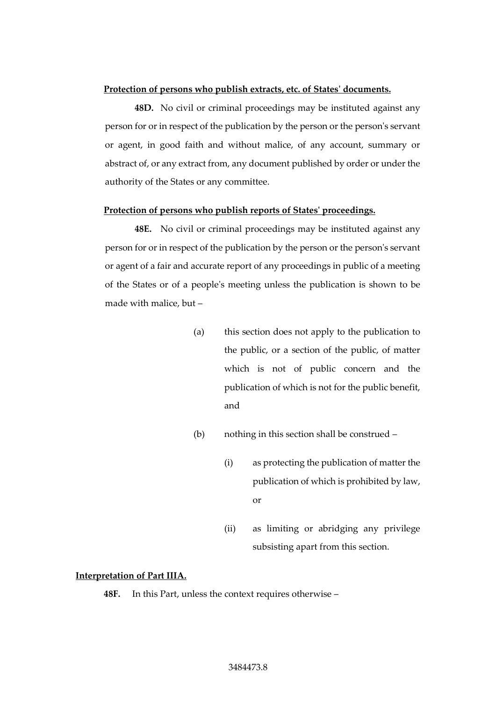#### **Protection of persons who publish extracts, etc. of States' documents.**

**48D.** No civil or criminal proceedings may be instituted against any person for or in respect of the publication by the person or the person's servant or agent, in good faith and without malice, of any account, summary or abstract of, or any extract from, any document published by order or under the authority of the States or any committee.

#### **Protection of persons who publish reports of States' proceedings.**

**48E.** No civil or criminal proceedings may be instituted against any person for or in respect of the publication by the person or the person's servant or agent of a fair and accurate report of any proceedings in public of a meeting of the States or of a people's meeting unless the publication is shown to be made with malice, but –

- (a) this section does not apply to the publication to the public, or a section of the public, of matter which is not of public concern and the publication of which is not for the public benefit, and
- (b) nothing in this section shall be construed
	- (i) as protecting the publication of matter the publication of which is prohibited by law, or
	- (ii) as limiting or abridging any privilege subsisting apart from this section.

#### **Interpretation of Part IIIA.**

**48F.** In this Part, unless the context requires otherwise –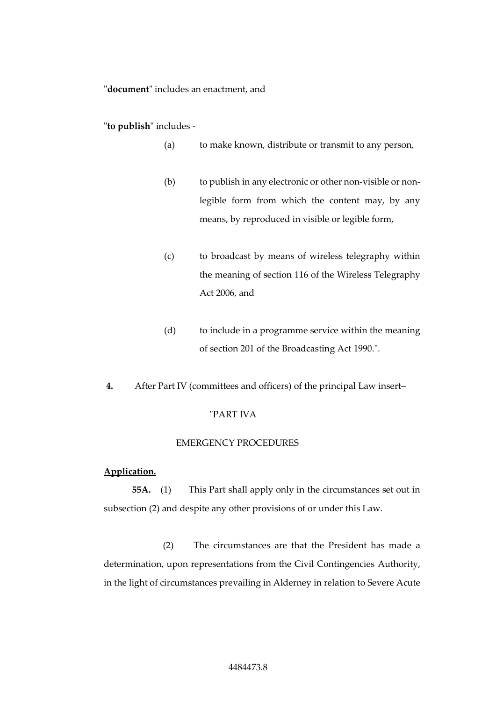#### "**document**" includes an enactment, and

"**to publish**" includes -

- (a) to make known, distribute or transmit to any person,
- (b) to publish in any electronic or other non-visible or nonlegible form from which the content may, by any means, by reproduced in visible or legible form,
- (c) to broadcast by means of wireless telegraphy within the meaning of section 116 of the Wireless Telegraphy Act 2006, and
- (d) to include in a programme service within the meaning of section 201 of the Broadcasting Act 1990.".
- **4.** After Part IV (committees and officers) of the principal Law insert–

# "PART IVA

### EMERGENCY PROCEDURES

### **Application.**

**55A.** (1) This Part shall apply only in the circumstances set out in subsection (2) and despite any other provisions of or under this Law.

(2) The circumstances are that the President has made a determination, upon representations from the Civil Contingencies Authority, in the light of circumstances prevailing in Alderney in relation to Severe Acute

#### 4484473.8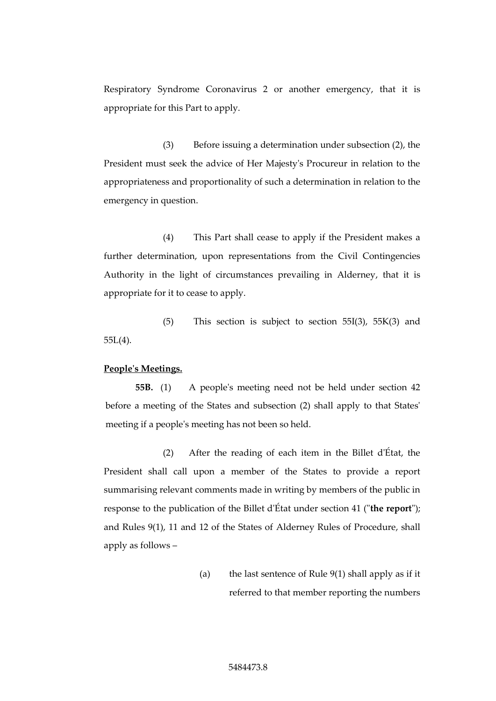Respiratory Syndrome Coronavirus 2 or another emergency, that it is appropriate for this Part to apply.

(3) Before issuing a determination under subsection (2), the President must seek the advice of Her Majesty's Procureur in relation to the appropriateness and proportionality of such a determination in relation to the emergency in question.

(4) This Part shall cease to apply if the President makes a further determination, upon representations from the Civil Contingencies Authority in the light of circumstances prevailing in Alderney, that it is appropriate for it to cease to apply.

(5) This section is subject to section 55I(3), 55K(3) and 55L(4).

#### **People's Meetings.**

**55B.** (1) A people's meeting need not be held under section 42 before a meeting of the States and subsection (2) shall apply to that States' meeting if a people's meeting has not been so held.

(2) After the reading of each item in the Billet d'État, the President shall call upon a member of the States to provide a report summarising relevant comments made in writing by members of the public in response to the publication of the Billet d'État under section 41 ("**the report**"); and Rules 9(1), 11 and 12 of the States of Alderney Rules of Procedure, shall apply as follows –

> (a) the last sentence of Rule 9(1) shall apply as if it referred to that member reporting the numbers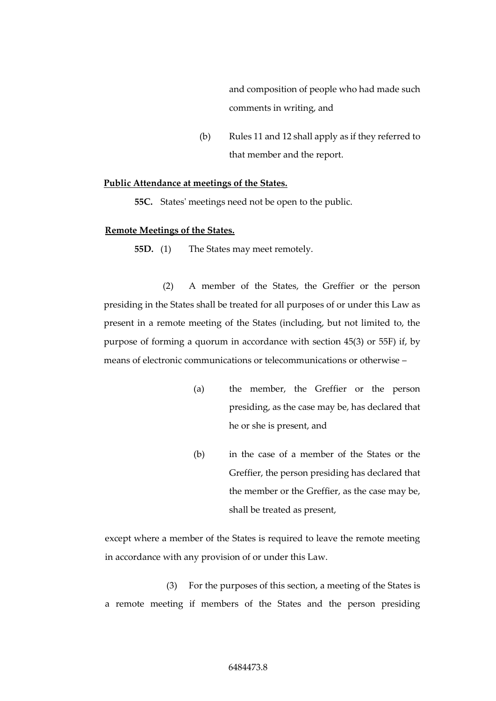and composition of people who had made such comments in writing, and

(b) Rules 11 and 12 shall apply as if they referred to that member and the report.

#### **Public Attendance at meetings of the States.**

**55C.** States' meetings need not be open to the public.

### **Remote Meetings of the States.**

**55D.** (1) The States may meet remotely.

(2) A member of the States, the Greffier or the person presiding in the States shall be treated for all purposes of or under this Law as present in a remote meeting of the States (including, but not limited to, the purpose of forming a quorum in accordance with section 45(3) or 55F) if, by means of electronic communications or telecommunications or otherwise –

- (a) the member, the Greffier or the person presiding, as the case may be, has declared that he or she is present, and
- (b) in the case of a member of the States or the Greffier, the person presiding has declared that the member or the Greffier, as the case may be, shall be treated as present,

except where a member of the States is required to leave the remote meeting in accordance with any provision of or under this Law.

(3) For the purposes of this section, a meeting of the States is a remote meeting if members of the States and the person presiding

### 6484473.8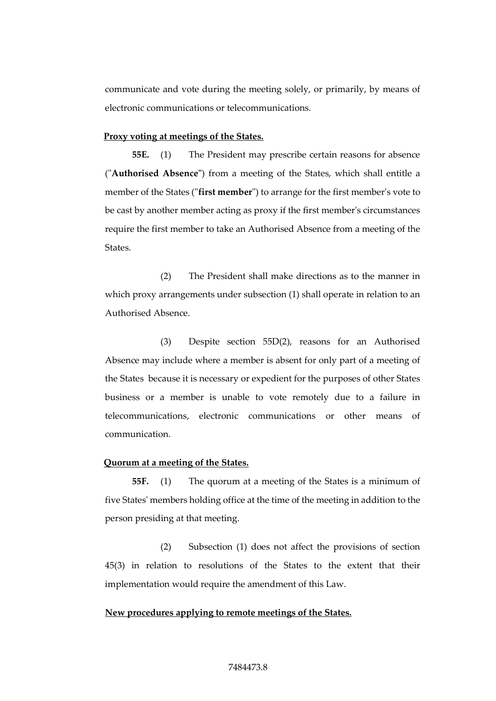communicate and vote during the meeting solely, or primarily, by means of electronic communications or telecommunications.

#### **Proxy voting at meetings of the States.**

**55E.** (1) The President may prescribe certain reasons for absence ("**Authorised Absence"**) from a meeting of the States, which shall entitle a member of the States ("**first member**") to arrange for the first member's vote to be cast by another member acting as proxy if the first member's circumstances require the first member to take an Authorised Absence from a meeting of the States.

(2) The President shall make directions as to the manner in which proxy arrangements under subsection (1) shall operate in relation to an Authorised Absence.

(3) Despite section 55D(2), reasons for an Authorised Absence may include where a member is absent for only part of a meeting of the States because it is necessary or expedient for the purposes of other States business or a member is unable to vote remotely due to a failure in telecommunications, electronic communications or other means of communication.

#### **Quorum at a meeting of the States.**

**55F.** (1) The quorum at a meeting of the States is a minimum of five States' members holding office at the time of the meeting in addition to the person presiding at that meeting.

(2) Subsection (1) does not affect the provisions of section 45(3) in relation to resolutions of the States to the extent that their implementation would require the amendment of this Law.

#### **New procedures applying to remote meetings of the States.**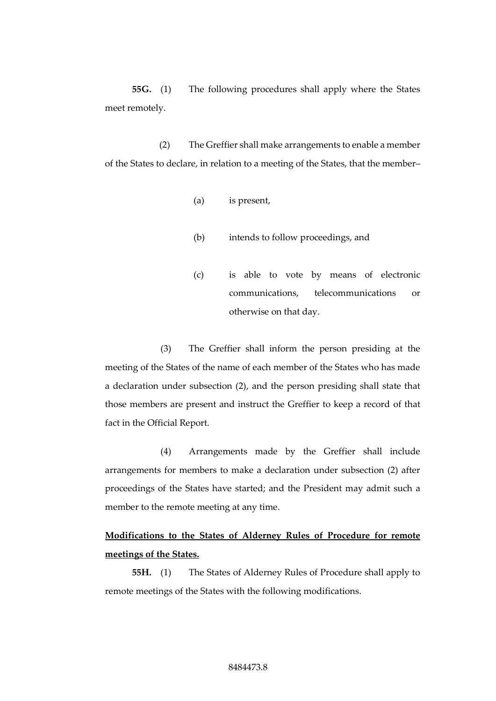**55G.** (1) The following procedures shall apply where the States meet remotely.

(2) The Greffier shall make arrangements to enable a member of the States to declare, in relation to a meeting of the States, that the member–

- (a) is present,
- (b) intends to follow proceedings, and
- (c) is able to vote by means of electronic communications, telecommunications or otherwise on that day.

(3) The Greffier shall inform the person presiding at the meeting of the States of the name of each member of the States who has made a declaration under subsection (2), and the person presiding shall state that those members are present and instruct the Greffier to keep a record of that fact in the Official Report.

(4) Arrangements made by the Greffier shall include arrangements for members to make a declaration under subsection (2) after proceedings of the States have started; and the President may admit such a member to the remote meeting at any time.

# **Modifications to the States of Alderney Rules of Procedure for remote meetings of the States.**

**55H.** (1) The States of Alderney Rules of Procedure shall apply to remote meetings of the States with the following modifications.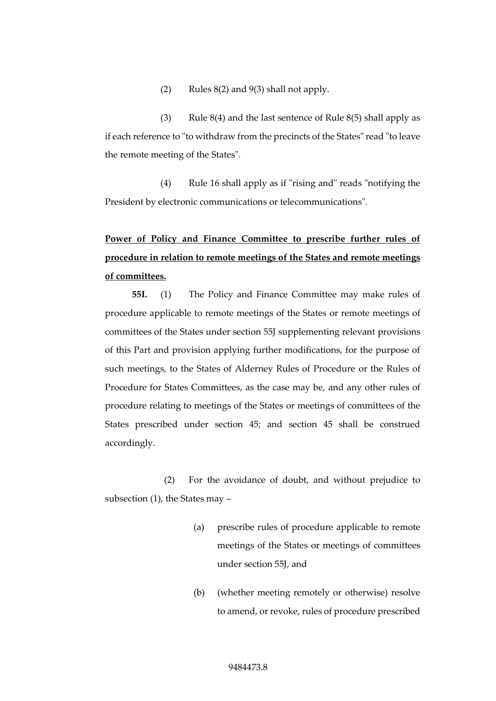(2) Rules  $8(2)$  and  $9(3)$  shall not apply.

(3) Rule  $8(4)$  and the last sentence of Rule  $8(5)$  shall apply as if each reference to "to withdraw from the precincts of the States" read "to leave the remote meeting of the States".

(4) Rule 16 shall apply as if "rising and" reads "notifying the President by electronic communications or telecommunications".

# **Power of Policy and Finance Committee to prescribe further rules of procedure in relation to remote meetings of the States and remote meetings of committees.**

**55I.** (1) The Policy and Finance Committee may make rules of procedure applicable to remote meetings of the States or remote meetings of committees of the States under section 55J supplementing relevant provisions of this Part and provision applying further modifications, for the purpose of such meetings, to the States of Alderney Rules of Procedure or the Rules of Procedure for States Committees, as the case may be, and any other rules of procedure relating to meetings of the States or meetings of committees of the States prescribed under section 45; and section 45 shall be construed accordingly.

(2) For the avoidance of doubt, and without prejudice to subsection (1), the States may –

- (a) prescribe rules of procedure applicable to remote meetings of the States or meetings of committees under section 55J, and
- (b) (whether meeting remotely or otherwise) resolve to amend, or revoke, rules of procedure prescribed

#### 9484473.8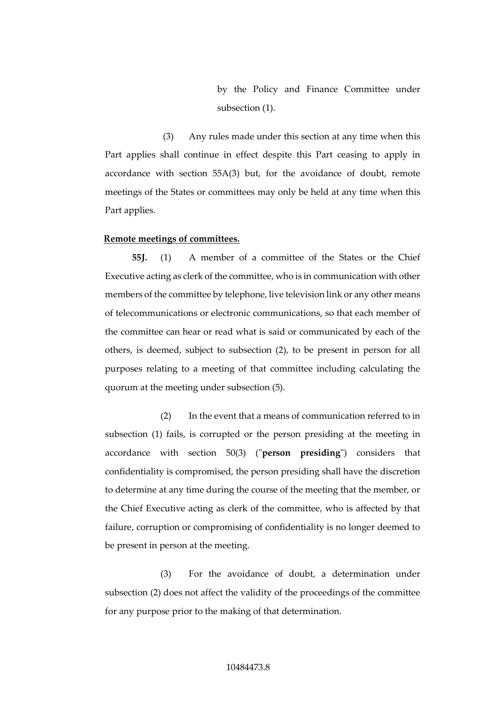by the Policy and Finance Committee under subsection (1).

(3) Any rules made under this section at any time when this Part applies shall continue in effect despite this Part ceasing to apply in accordance with section 55A(3) but, for the avoidance of doubt, remote meetings of the States or committees may only be held at any time when this Part applies.

#### **Remote meetings of committees.**

**55J.** (1) A member of a committee of the States or the Chief Executive acting as clerk of the committee, who is in communication with other members of the committee by telephone, live television link or any other means of telecommunications or electronic communications, so that each member of the committee can hear or read what is said or communicated by each of the others, is deemed, subject to subsection (2), to be present in person for all purposes relating to a meeting of that committee including calculating the quorum at the meeting under subsection (5).

(2) In the event that a means of communication referred to in subsection (1) fails, is corrupted or the person presiding at the meeting in accordance with section 50(3) ("**person presiding**") considers that confidentiality is compromised, the person presiding shall have the discretion to determine at any time during the course of the meeting that the member, or the Chief Executive acting as clerk of the committee, who is affected by that failure, corruption or compromising of confidentiality is no longer deemed to be present in person at the meeting.

(3) For the avoidance of doubt, a determination under subsection (2) does not affect the validity of the proceedings of the committee for any purpose prior to the making of that determination.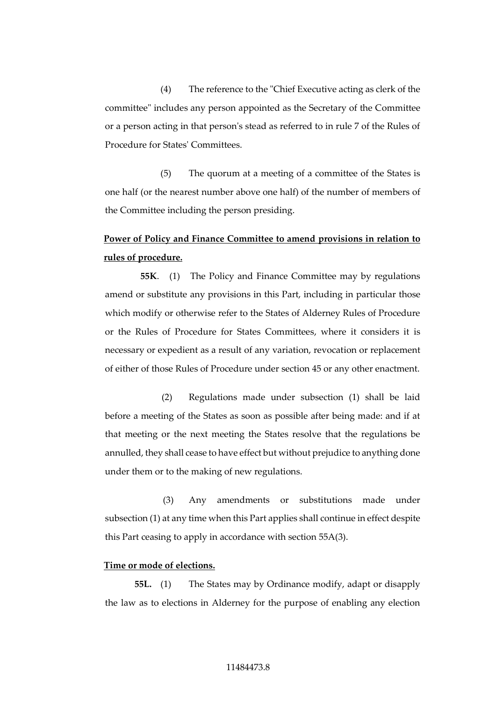(4) The reference to the "Chief Executive acting as clerk of the committee" includes any person appointed as the Secretary of the Committee or a person acting in that person's stead as referred to in rule 7 of the Rules of Procedure for States' Committees.

(5) The quorum at a meeting of a committee of the States is one half (or the nearest number above one half) of the number of members of the Committee including the person presiding.

# **Power of Policy and Finance Committee to amend provisions in relation to rules of procedure.**

**55K**. (1) The Policy and Finance Committee may by regulations amend or substitute any provisions in this Part, including in particular those which modify or otherwise refer to the States of Alderney Rules of Procedure or the Rules of Procedure for States Committees, where it considers it is necessary or expedient as a result of any variation, revocation or replacement of either of those Rules of Procedure under section 45 or any other enactment.

(2) Regulations made under subsection (1) shall be laid before a meeting of the States as soon as possible after being made: and if at that meeting or the next meeting the States resolve that the regulations be annulled, they shall cease to have effect but without prejudice to anything done under them or to the making of new regulations.

(3) Any amendments or substitutions made under subsection (1) at any time when this Part applies shall continue in effect despite this Part ceasing to apply in accordance with section 55A(3).

#### **Time or mode of elections.**

**55L.** (1) The States may by Ordinance modify, adapt or disapply the law as to elections in Alderney for the purpose of enabling any election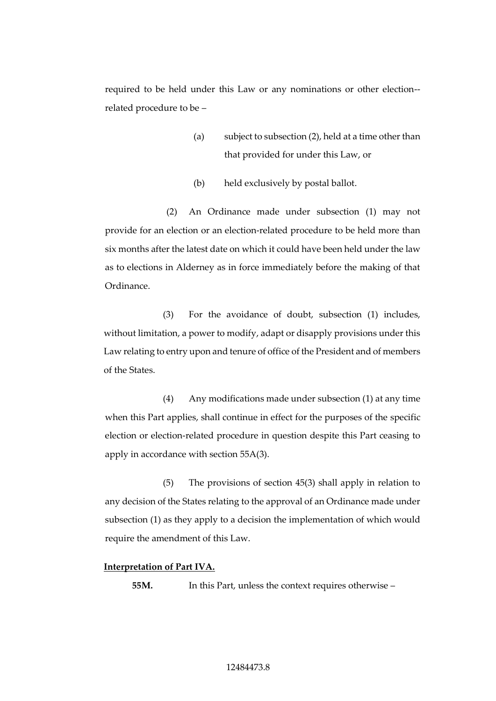required to be held under this Law or any nominations or other election- related procedure to be –

- (a) subject to subsection (2), held at a time other than that provided for under this Law, or
- (b) held exclusively by postal ballot.

(2) An Ordinance made under subsection (1) may not provide for an election or an election-related procedure to be held more than six months after the latest date on which it could have been held under the law as to elections in Alderney as in force immediately before the making of that Ordinance.

(3) For the avoidance of doubt, subsection (1) includes, without limitation, a power to modify, adapt or disapply provisions under this Law relating to entry upon and tenure of office of the President and of members of the States.

(4) Any modifications made under subsection (1) at any time when this Part applies, shall continue in effect for the purposes of the specific election or election-related procedure in question despite this Part ceasing to apply in accordance with section 55A(3).

(5) The provisions of section 45(3) shall apply in relation to any decision of the States relating to the approval of an Ordinance made under subsection (1) as they apply to a decision the implementation of which would require the amendment of this Law.

#### **Interpretation of Part IVA.**

**55M.** In this Part, unless the context requires otherwise –